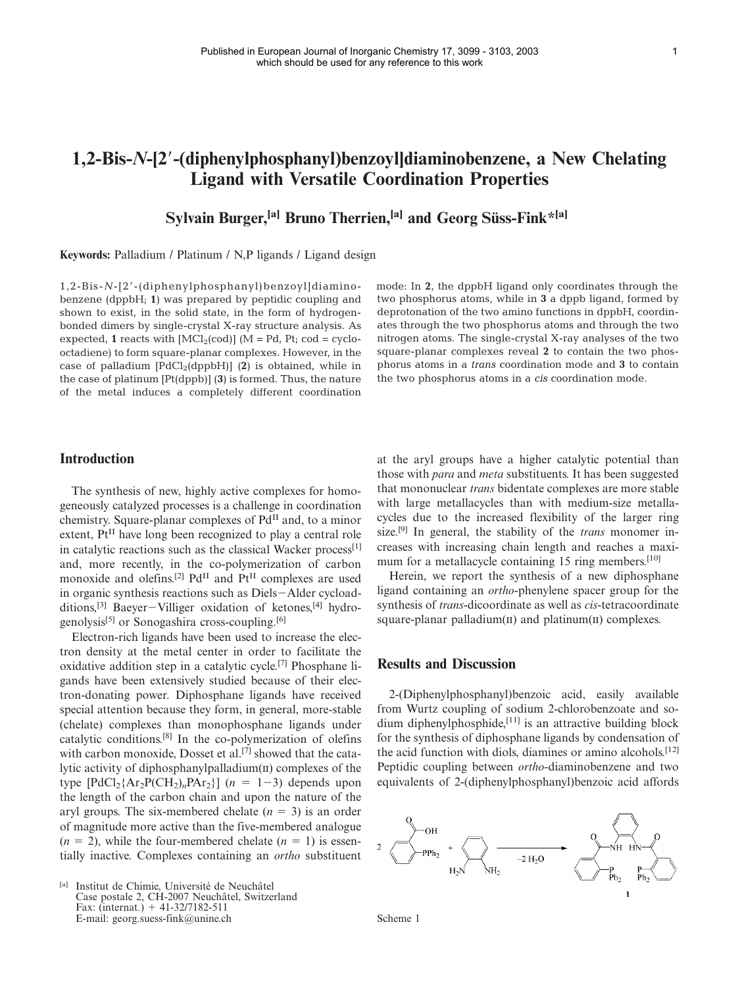# **1,2-Bis-***N***-[2-(diphenylphosphanyl)benzoyl]diaminobenzene, a New Chelating Ligand with Versatile Coordination Properties**

## **Sylvain Burger, [a] Bruno Therrien,[a] and Georg Süss-Fink\*[a]**

**Keywords:** Palladium / Platinum / N,P ligands / Ligand design

1,2-Bis-*N*-[2-(diphenylphosphanyl)benzoyl]diaminobenzene (dppbH; **1**) was prepared by peptidic coupling and shown to exist, in the solid state, in the form of hydrogenbonded dimers by single-crystal X-ray structure analysis. As expected, 1 reacts with  $[MCl_2(cod)]$  (M = Pd, Pt; cod = cyclooctadiene) to form square-planar complexes. However, in the case of palladium  $[PdCl_2(dppbH)]$  (2) is obtained, while in the case of platinum [Pt(dppb)] (**3**) is formed. Thus, the nature of the metal induces a completely different coordination mode: In **2**, the dppbH ligand only coordinates through the two phosphorus atoms, while in **3** a dppb ligand, formed by deprotonation of the two amino functions in dppbH, coordinates through the two phosphorus atoms and through the two nitrogen atoms. The single-crystal X-ray analyses of the two square-planar complexes reveal **2** to contain the two phosphorus atoms in a *trans* coordination mode and **3** to contain the two phosphorus atoms in a *cis* coordination mode.

### **Introduction**

The synthesis of new, highly active complexes for homogeneously catalyzed processes is a challenge in coordination chemistry. Square-planar complexes of  $Pd<sup>H</sup>$  and, to a minor extent,  $Pt<sup>II</sup>$  have long been recognized to play a central role in catalytic reactions such as the classical Wacker process<sup>[1]</sup> and, more recently, in the co-polymerization of carbon monoxide and olefins.<sup>[2]</sup> Pd<sup>II</sup> and Pt<sup>II</sup> complexes are used in organic synthesis reactions such as Diels-Alder cycloadditions,<sup>[3]</sup> Baeyer-Villiger oxidation of ketones,<sup>[4]</sup> hydrogenolysis[5] or Sonogashira cross-coupling.[6]

Electron-rich ligands have been used to increase the electron density at the metal center in order to facilitate the oxidative addition step in a catalytic cycle.<sup>[7]</sup> Phosphane ligands have been extensively studied because of their electron-donating power. Diphosphane ligands have received special attention because they form, in general, more-stable (chelate) complexes than monophosphane ligands under catalytic conditions. [8] In the co-polymerization of olefins with carbon monoxide, Dosset et al.<sup>[7]</sup> showed that the catalytic activity of diphosphanylpalladium $(\text{II})$  complexes of the type  $[\text{PdCl}_2\{\text{Ar}_2\text{P}(\text{CH}_2)_n\text{P}\text{Ar}_2\}]$  ( $n = 1-3$ ) depends upon the length of the carbon chain and upon the nature of the aryl groups. The six-membered chelate  $(n = 3)$  is an order of magnitude more active than the five-membered analogue  $(n = 2)$ , while the four-membered chelate  $(n = 1)$  is essentially inactive. Complexes containing an *ortho* substituent

<sup>[a]</sup> Institut de Chimie, Université de Neuchâtel Case postale 2, CH-2007 Neuchâtel, Switzerland Fax: (internat.)  $+ 41 - 32/7182 - 511$ E-mail: georg.suess-fink@unine.ch

at the aryl groups have a higher catalytic potential than those with *para* and *meta* substituents. It has been suggested that mononuclear *trans* bidentate complexes are more stable with large metallacycles than with medium-size metallacycles due to the increased flexibility of the larger ring size. [9] In general, the stability of the *trans* monomer increases with increasing chain length and reaches a maximum for a metallacycle containing 15 ring members.<sup>[10]</sup>

Herein, we report the synthesis of a new diphosphane ligand containing an *ortho*-phenylene spacer group for the synthesis of *trans*-dicoordinate as well as *cis*-tetracoordinate square-planar palladium $(I)$  and platinum $(I)$  complexes.

### **Results and Discussion**

2-(Diphenylphosphanyl)benzoic acid, easily available from Wurtz coupling of sodium 2-chlorobenzoate and sodium diphenylphosphide,<sup>[11]</sup> is an attractive building block for the synthesis of diphosphane ligands by condensation of the acid function with diols, diamines or amino alcohols. [12] Peptidic coupling between *ortho*-diaminobenzene and two equivalents of 2-(diphenylphosphanyl)benzoic acid affords



Scheme 1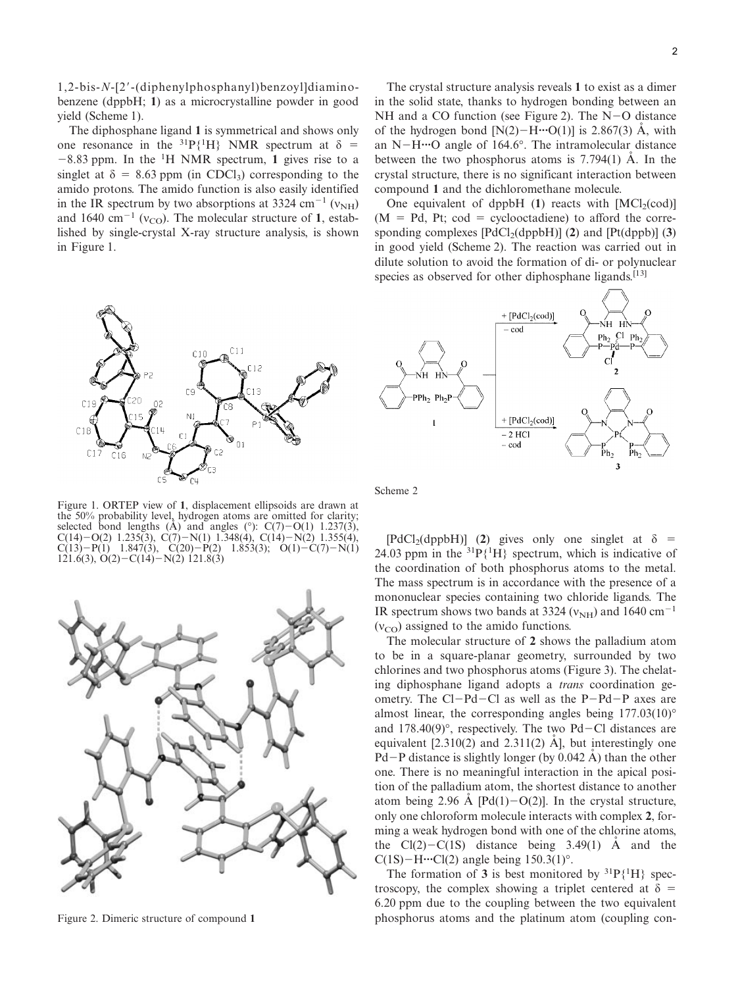1,2-bis-*N*-[2-(diphenylphosphanyl)benzoyl]diaminobenzene (dppbH; **1**) as a microcrystalline powder in good yield (Scheme 1).

The diphosphane ligand **1** is symmetrical and shows only one resonance in the <sup>31</sup>P{<sup>1</sup>H} NMR spectrum at  $\delta$  =  $-8.83$  ppm. In the <sup>1</sup>H NMR spectrum, 1 gives rise to a singlet at  $\delta = 8.63$  ppm (in CDCl<sub>3</sub>) corresponding to the amido protons. The amido function is also easily identified in the IR spectrum by two absorptions at 3324 cm<sup>-1</sup> ( $v<sub>NH</sub>$ ) and 1640 cm<sup>-1</sup> ( $v_{\rm CO}$ ). The molecular structure of 1, established by single-crystal X-ray structure analysis, is shown in Figure 1.



Figure 1. ORTEP view of **1**, displacement ellipsoids are drawn at the 50% probability level, hydrogen atoms are omitted for clarity; selected bond lengths (A) and angles (°):  $C(7)-O(1)$  1.237(3),  $C(14)-O(2)$  1.235(3),  $C(7)-N(1)$  1.348(4),  $C(14)-N(2)$  1.355(4),  $C(13) - P(1)$  1.847(3),  $C(20) - P(2)$  1.853(3);  $O(1) - C(7) - N(1)$  $121.6(3), O(2) - C(14) - N(2)$  121.8(3)



Figure 2. Dimeric structure of compound **1**

The crystal structure analysis reveals **1** to exist as a dimer in the solid state, thanks to hydrogen bonding between an NH and a CO function (see Figure 2). The N-O distance of the hydrogen bond  $[N(2) - H \cdots O(1)]$  is 2.867(3)  $\AA$ , with an N-H**···**O angle of 164.6°. The intramolecular distance between the two phosphorus atoms is  $7.794(1)$  Å. In the crystal structure, there is no significant interaction between compound **1** and the dichloromethane molecule.

One equivalent of dppbH $(1)$  reacts with  $[MCI<sub>2</sub>(cod)]$  $(M = Pd, Pt; cod = cyclooctadiene)$  to afford the corresponding complexes  $[PdCl<sub>2</sub>(dpp bH)]$  (2) and  $[Pt(dp b]]$  (3) in good yield (Scheme 2). The reaction was carried out in dilute solution to avoid the formation of di- or polynuclear species as observed for other diphosphane ligands.<sup>[13]</sup>



Scheme 2

 $[PdCl<sub>2</sub>(dpp bH)]$  (2) gives only one singlet at  $\delta =$ 24.03 ppm in the  ${}^{31}P{^1H}$  spectrum, which is indicative of the coordination of both phosphorus atoms to the metal. The mass spectrum is in accordance with the presence of a mononuclear species containing two chloride ligands. The IR spectrum shows two bands at 3324 ( $v_{NH}$ ) and 1640 cm<sup>-1</sup>  $(v_{\rm CO})$  assigned to the amido functions.

The molecular structure of **2** shows the palladium atom to be in a square-planar geometry, surrounded by two chlorines and two phosphorus atoms (Figure 3). The chelating diphosphane ligand adopts a *trans* coordination geometry. The Cl-Pd-Cl as well as the P-Pd-P axes are almost linear, the corresponding angles being 177.03(10)° and 178.40(9)°, respectively. The two Pd-Cl distances are equivalent  $[2.310(2)$  and  $2.311(2)$  A, but interestingly one  $\vec{Pd}$  – P distance is slightly longer (by 0.042 Å) than the other one. There is no meaningful interaction in the apical position of the palladium atom, the shortest distance to another atom being 2.96 Å [Pd(1)-O(2)]. In the crystal structure, only one chloroform molecule interacts with complex **2**, forming a weak hydrogen bond with one of the chlorine atoms, the  $Cl(2)-C(1S)$  distance being 3.49(1) Å and the  $C(1S)$ – $H$ … $Cl(2)$  angle being  $150.3(1)$ °.

The formation of 3 is best monitored by  ${}^{31}P{^1H}$  spectroscopy, the complex showing a triplet centered at  $\delta =$ 6.20 ppm due to the coupling between the two equivalent phosphorus atoms and the platinum atom (coupling con-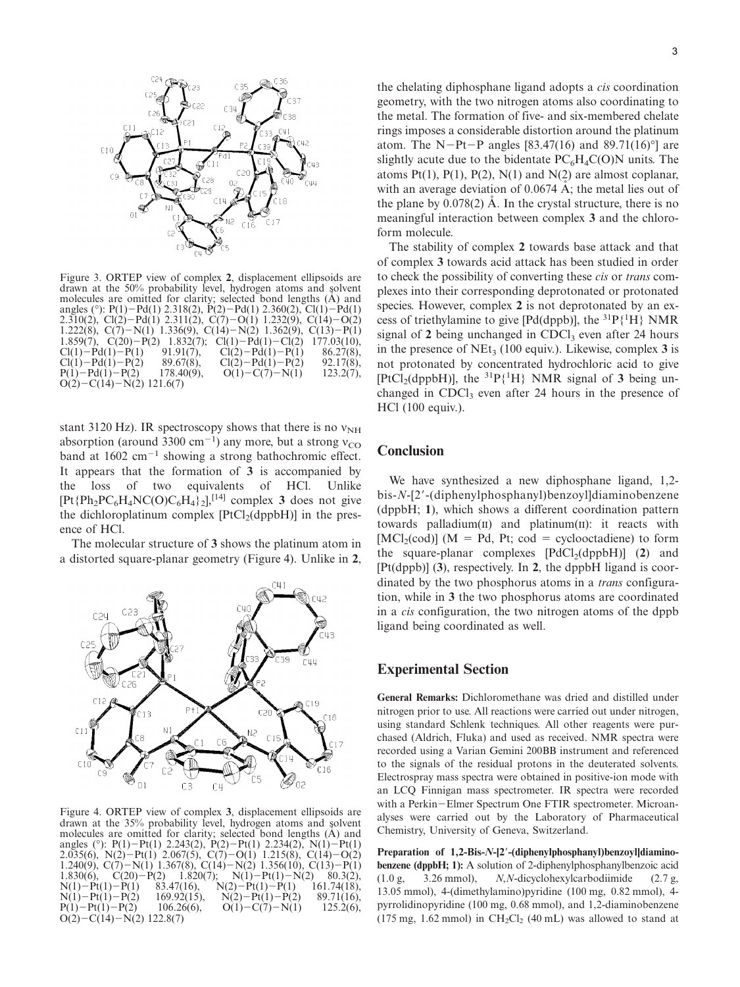

Figure 3. ORTEP view of complex **<sup>2</sup>**, displacement ellipsoids are drawn at the 50% probability level, hydrogen atoms and solvent molecules are omitted for clarity; selected bond lengths (A) and angles (°): P(1)-Pd(1) 2.318(2), P(2)-Pd(1) 2.360(2), Cl(1)-Pd(1) 2.310(2), Cl(2)-Pd(1) 2.311(2), C(7)-O(1) 1.232(9), C(14)-O(2) 1.222(8),  $C(7)-N(1)$  1.336(9),  $C(14)-N(2)$  1.362(9),  $C(13)-P(1)$ 1.859(7), C(20)-P(2) 1.832(7); Cl(1)- $\text{Cl}(1)-\text{Pd}(1)-\text{Cl}(2)$  $177.03(10)$ ,  $Cl(1) – Pd(1) –$  $\frac{91.91(7)}{89.67(8)}$  $\text{Cl}(2) - \text{Pd}(1) - \text{P}(1)$  $86.27(8)$ ,  $Cl(1) – Pd(1) –$  $P(2)$  89.67(8),  $Cl(2)-Pd(1)$  $92.17(8)$ ,  $P(1) - Pd(1) 178.40(9)$ ,  $O(1) - C(7) - N(1)$  $123.2(7),$  $O(2) - C(14) - N(2)$  121.6(7)

stant 3120 Hz). IR spectroscopy shows that there is no  $v_{NH}$ absorption (around 3300 cm<sup>-1</sup>) any more, but a strong  $v_{\rm CO}$ band at 1602 cm<sup>-1</sup> showing a strong bathochromic effect. It appears that the formation of **3** is accompanied by the loss of two equivalents of HCl. Unlike  $[Pt{Ph}_2PC_6H_4NC(O)C_6H_4\}$ <sub>2</sub>],<sup>[14]</sup> complex **3** does not give the dichloroplatinum complex  $[PtCl<sub>2</sub>(dppbH)]$  in the presence of HCl.

The molecular structure of **3** shows the platinum atom in a distorted square-planar geometry (Figure 4). Unlike in **2**,



Figure 4. ORTEP view of complex **3**, displacement ellipsoids are drawn at the 35% probability level, hydrogen atoms and solvent molecules are omitted for clarity; selected bond lengths (A) and angles (°): P(1)-Pt(1) 2.243(2), P(2)-Pt(1) 2.234(2), N(1)-Pt(1) 2.035(6),  $N(2) - Pt(1)$  2.067(5),  $C(7) - O(1)$  1.215(8),  $C(14) - O(2)$ 1.240(9), C(7)-N(1) 1.367(8), C(14)-N(2) 1.356(10), C(13)-P(1)  $1.830(6)$ ,  $C(20)-P(2)$  $\hat{1.820(7)}$ ;  $N(1)-Pt(1)-N(2)$  $80.3(2)$ ,  $N(1) - Pt(1) \overline{83.47(16)}$ ,  $N(2)-P(t(1)-P(1)$  $161.74(18)$ ,  $N(1) - Pt(1) 169.92(15)$ ,  $\dot{P}(2) - Pt(1) - \dot{P}(2)$  $89.71(16)$ ,  $P(1) - Pt(1) 106.26(6)$ ,  $O(1)-C(7)-N(1)$  $125.2(6)$ ,  $O(2) - C(14) - N(2)$  122.8(7)

the chelating diphosphane ligand adopts a *cis* coordination geometry, with the two nitrogen atoms also coordinating to the metal. The formation of five- and six-membered chelate rings imposes a considerable distortion around the platinum atom. The N-Pt-P angles [83.47(16) and 89.71(16)°] are slightly acute due to the bidentate  $PC_6H_4C(O)N$  units. The atoms Pt(1), P(1), P(2), N(1) and N(2) are almost coplanar. with an average deviation of  $0.0674 \text{ Å}$ ; the metal lies out of the plane by  $0.078(2)$  Å. In the crystal structure, there is no meaningful interaction between complex **3** and the chloroform molecule.

The stability of complex **2** towards base attack and that of complex **3** towards acid attack has been studied in order to check the possibility of converting these *cis* or *trans* complexes into their corresponding deprotonated or protonated species. However, complex **2** is not deprotonated by an excess of triethylamine to give [Pd(dppb)], the  ${}^{31}P\{{}^{1}H\}$  NMR signal of  $2$  being unchanged in CDCl<sub>3</sub> even after  $24$  hours in the presence of  $NEt_3$  (100 equiv.). Likewise, complex 3 is not protonated by concentrated hydrochloric acid to give [PtCl<sub>2</sub>(dppbH)], the  ${}^{31}P{^1H}$  NMR signal of 3 being unchanged in  $CDCl<sub>3</sub>$  even after 24 hours in the presence of HCl (100 equiv.).

### **Conclusion**

We have synthesized a new diphosphane ligand, 1,2bis-*N*-[2-(diphenylphosphanyl)benzoyl]diaminobenzene (dppbH; **1**), which shows a different coordination pattern towards palladium $(n)$  and platinum $(n)$ : it reacts with  $[MCl<sub>2</sub>(cod)]$  (M = Pd, Pt; cod = cyclooctadiene) to form the square-planar complexes  $[PdCl_2(dppbH)]$  (2) and [Pt(dppb)] (**3**), respectively. In **2**, the dppbH ligand is coordinated by the two phosphorus atoms in a *trans* configuration, while in **3** the two phosphorus atoms are coordinated in a *cis* configuration, the two nitrogen atoms of the dppb ligand being coordinated as well.

#### **Experimental Section**

**General Remarks:** Dichloromethane was dried and distilled under nitrogen prior to use. All reactions were carried out under nitrogen, using standard Schlenk techniques. All other reagents were purchased (Aldrich, Fluka) and used as received. NMR spectra were recorded using a Varian Gemini 200BB instrument and referenced to the signals of the residual protons in the deuterated solvents. Electrospray mass spectra were obtained in positive-ion mode with an LCQ Finnigan mass spectrometer. IR spectra were recorded with a Perkin-Elmer Spectrum One FTIR spectrometer. Microanalyses were carried out by the Laboratory of Pharmaceutical Chemistry, University of Geneva, Switzerland.

**Preparation of 1,2-Bis-***N***-[2-(diphenylphosphanyl)benzoyl]diaminobenzene (dppbH; 1):** A solution of 2-diphenylphosphanylbenzoic acid (1.0 g, 3.26 mmol), *N*,*N*-dicyclohexylcarbodiimide (2.7 g, 13.05 mmol), 4-(dimethylamino)pyridine (100 mg, 0.82 mmol), 4 pyrrolidinopyridine (100 mg, 0.68 mmol), and 1,2-diaminobenzene (175 mg, 1.62 mmol) in  $CH_2Cl_2$  (40 mL) was allowed to stand at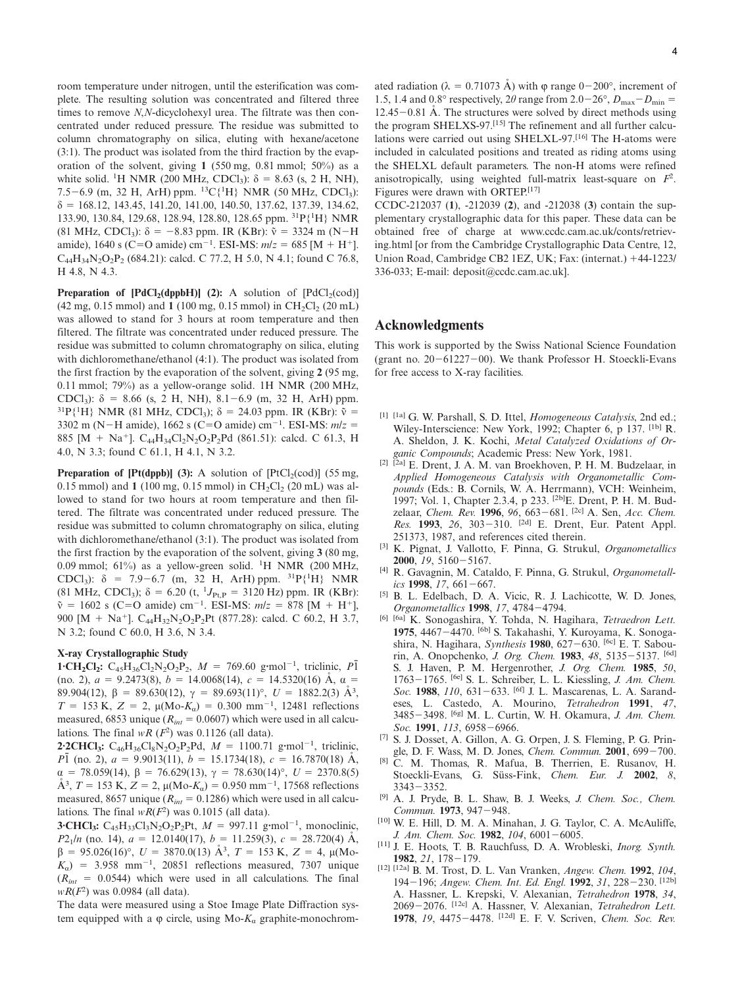room temperature under nitrogen, until the esterification was complete. The resulting solution was concentrated and filtered three times to remove *N*,*N*-dicyclohexyl urea. The filtrate was then concentrated under reduced pressure. The residue was submitted to column chromatography on silica, eluting with hexane/acetone (3:1). The product was isolated from the third fraction by the evaporation of the solvent, giving **1** (550 mg, 0.81 mmol; 50%) as a white solid. <sup>1</sup>H NMR (200 MHz, CDCl<sub>3</sub>):  $\delta = 8.63$  (s, 2 H, NH), 7.5-6.9 (m, 32 H, ArH) ppm. 13C{1 H} NMR (50 MHz, CDCl3):  $\delta = 168.12, 143.45, 141.20, 141.00, 140.50, 137.62, 137.39, 134.62,$ 133.90, 130.84, 129.68, 128.94, 128.80, 128.65 ppm. 31P{1 H} NMR (81 MHz, CDCl<sub>3</sub>):  $\delta = -8.83$  ppm. IR (KBr):  $\tilde{v} = 3324$  m (N-H) amide), 1640 s (C=O amide) cm<sup>-1</sup>. ESI-MS:  $m/z = 685$  [M + H<sup>+</sup>].  $C_{44}H_{34}N_2O_2P_2$  (684.21): calcd. C 77.2, H 5.0, N 4.1; found C 76.8, H 4.8, N 4.3.

**Preparation of**  $[PdCl_2(dppbH)]$  **(2): A solution of**  $[PdCl_2(cod)]$  $(42 \text{ mg}, 0.15 \text{ mmol})$  and  $(100 \text{ mg}, 0.15 \text{ mmol})$  in CH<sub>2</sub>Cl<sub>2</sub> (20 mL) was allowed to stand for 3 hours at room temperature and then filtered. The filtrate was concentrated under reduced pressure. The residue was submitted to column chromatography on silica, eluting with dichloromethane/ethanol (4:1). The product was isolated from the first fraction by the evaporation of the solvent, giving **2** (95 mg, 0.11 mmol; 79%) as a yellow-orange solid. 1H NMR (200 MHz, CDCl<sub>3</sub>):  $\delta = 8.66$  (s, 2 H, NH),  $8.1 - 6.9$  (m, 32 H, ArH) ppm. <sup>31</sup>P{<sup>1</sup>H} NMR (81 MHz, CDCl<sub>3</sub>); δ = 24.03 ppm. IR (KBr):  $\tilde{v}$  = 3302 m (N-H amide), 1662 s (C=O amide) cm<sup>-1</sup>. ESI-MS:  $mlz =$ 885 [M + Na<sup>+</sup>]. C<sub>44</sub>H<sub>34</sub>Cl<sub>2</sub>N<sub>2</sub>O<sub>2</sub>P<sub>2</sub>Pd (861.51): calcd. C 61.3, H 4.0, N 3.3; found C 61.1, H 4.1, N 3.2.

**Preparation of**  $[Pt(dppb)]$  **(3): A solution of**  $[PtCl<sub>2</sub>(cod)]$  **(55 mg,** 0.15 mmol) and **1** (100 mg, 0.15 mmol) in  $CH_2Cl_2$  (20 mL) was allowed to stand for two hours at room temperature and then filtered. The filtrate was concentrated under reduced pressure. The residue was submitted to column chromatography on silica, eluting with dichloromethane/ethanol (3:1). The product was isolated from the first fraction by the evaporation of the solvent, giving **3** (80 mg, 0.09 mmol; 61%) as a yellow-green solid. <sup>1</sup>H NMR (200 MHz, CDCl<sub>3</sub>):  $\delta = 7.9 - 6.7$  (m, 32 H, ArH) ppm. <sup>31</sup>P{<sup>1</sup>H} NMR (81 MHz, CDCl<sub>3</sub>); δ = 6.20 (t, <sup>1</sup>J<sub>Pt,P</sub> = 3120 Hz) ppm. IR (KBr):  $\tilde{v} = 1602$  s (C=O amide) cm<sup>-1</sup>. ESI-MS:  $m/z = 878$  [M + H<sup>+</sup>], 900 [M + Na<sup>+</sup>]. C<sub>44</sub>H<sub>32</sub>N<sub>2</sub>O<sub>2</sub>P<sub>2</sub>Pt (877.28): calcd. C 60.2, H 3.7, N 3.2; found C 60.0, H 3.6, N 3.4.

#### **X-ray Crystallographic Study**

**1·CH<sub>2</sub>Cl<sub>2</sub>:** C<sub>45</sub>H<sub>36</sub>Cl<sub>2</sub>N<sub>2</sub>O<sub>2</sub>P<sub>2</sub>,  $M = 769.60$  g·mol<sup>-1</sup>, triclinic,  $P\overline{1}$ (no. 2),  $a = 9.2473(8)$ ,  $b = 14.0068(14)$ ,  $c = 14.5320(16)$  Å,  $\alpha =$ 89.904(12),  $\beta = 89.630(12)$ ,  $\gamma = 89.693(11)$ °,  $U = 1882.2(3)$  Å<sup>3</sup>,  $T = 153$  K,  $Z = 2$ ,  $\mu$ (Mo- $K_{\alpha}$ ) = 0.300 mm<sup>-1</sup>, 12481 reflections measured, 6853 unique ( $R_{int} = 0.0607$ ) which were used in all calculations. The final  $wR$  ( $F<sup>2</sup>$ ) was 0.1126 (all data).

**2·2CHCl<sub>3</sub>:**  $C_{46}H_{36}Cl_8N_2O_2P_2Pd$ ,  $M = 1100.71$  g·mol<sup>-1</sup>, triclinic, *P*<sup>1</sup> (no. 2),  $a = 9.9013(11)$ ,  $b = 15.1734(18)$ ,  $c = 16.7870(18)$  Å,  $\alpha$  = 78.059(14),  $\beta$  = 76.629(13),  $\gamma$  = 78.630(14)°, *U* = 2370.8(5)  $\AA^3$ , *T* = 153 K, *Z* = 2, μ(Mo-*K<sub>α</sub>*) = 0.950 mm<sup>-1</sup>, 17568 reflections measured, 8657 unique ( $R_{int}$  = 0.1286) which were used in all calculations. The final  $wR(F^2)$  was 0.1015 (all data).

**3·CHCl<sub>3</sub>:**  $C_{45}H_{33}Cl_{3}N_{2}O_{2}P_{2}Pt$ ,  $M = 997.11$  g·mol<sup>-1</sup>, monoclinic, *P*2<sub>1</sub>/*n* (no. 14),  $a = 12.0140(17)$ ,  $b = 11.259(3)$ ,  $c = 28.720(4)$  Å,  $\beta = 95.026(16)^\circ$ ,  $U = 3870.0(13)$   $\AA^3$ ,  $T = 153$  K,  $Z = 4$ ,  $\mu$ (Mo- $K_{\alpha}$ ) = 3.958 mm<sup>-1</sup>, 20851 reflections measured, 7307 unique  $(R<sub>int</sub> = 0.0544)$  which were used in all calculations. The final *wR*(*F*<sup>2</sup> ) was 0.0984 (all data).

The data were measured using a Stoe Image Plate Diffraction system equipped with a  $\varphi$  circle, using Mo- $K_a$  graphite-monochrom-

ated radiation ( $\lambda = 0.71073$  Å) with  $\varphi$  range 0-200°, increment of 1.5, 1.4 and 0.8° respectively, 2 $\theta$  range from 2.0–26°,  $D_{\text{max}}-D_{\text{min}}=$ 12.45 - 0.81 Å. The structures were solved by direct methods using the program SHELXS-97.[15] The refinement and all further calculations were carried out using SHELXL-97.[16] The H-atoms were included in calculated positions and treated as riding atoms using the SHELXL default parameters. The non-H atoms were refined anisotropically, using weighted full-matrix least-square on *F*<sup>2</sup> . Figures were drawn with ORTEP.[17]

CCDC-212037 (**1**), -212039 (**2**), and -212038 (**3**) contain the supplementary crystallographic data for this paper. These data can be obtained free of charge at www.ccdc.cam.ac.uk/conts/retrieving.html [or from the Cambridge Crystallographic Data Centre, 12, Union Road, Cambridge CB2 1EZ, UK; Fax: (internat.) 44-1223/ 336-033; E-mail: deposit@ccdc.cam.ac.uk].

#### **Acknowledgments**

This work is supported by the Swiss National Science Foundation (grant no. 20-61227-00). We thank Professor H. Stoeckli-Evans for free access to X-ray facilities.

- [1] [1a] G. W. Parshall, S. D. Ittel, *Homogeneous Catalysis*, 2nd ed.; Wiley-Interscience: New York, 1992; Chapter 6, p 137. [1b] R. A. Sheldon, J. K. Kochi, *Metal Catalyzed Oxidations of Organic Compounds*; Academic Press: New York, 1981.
- [2] [2a] E. Drent, J. A. M. van Broekhoven, P. H. M. Budzelaar, in *Applied Homogeneous Catalysis with Organometallic Compounds* (Eds.: B. Cornils, W. A. Herrmann), VCH: Weinheim, 1997; Vol. 1, Chapter 2.3.4, p 233. [2b]E. Drent, P. H. M. Budzelaar, *Chem. Rev.* **1996**, *96*, 663-681. [2c] A. Sen, *Acc. Chem. Res.* **1993**, *26*, 303-310. [2d] E. Drent, Eur. Patent Appl. 251373, 1987, and references cited therein.
- [3] K. Pignat, J. Vallotto, F. Pinna, G. Strukul, *Organometallics* **2000**, *19*, 5160-5167.
- [4] R. Gavagnin, M. Cataldo, F. Pinna, G. Strukul, *Organometallics* **1998**, *17*, 661-667.
- [5] B. L. Edelbach, D. A. Vicic, R. J. Lachicotte, W. D. Jones, *Organometallics* **1998**, *17*, 4784-4794.
- [6] [6a] K. Sonogashira, Y. Tohda, N. Hagihara, *Tetraedron Lett.* **1975**, 4467-4470. [6b] S. Takahashi, Y. Kuroyama, K. Sonogashira, N. Hagihara, *Synthesis* **1980**, 627-630. [6c] E. T. Sabourin, A. Onopchenko, *J. Org. Chem.* **1983**, *48*, 5135-5137. [6d] S. J. Haven, P. M. Hergenrother, *J. Org. Chem.* **1985**, *50*, 1763-1765. [6e] S. L. Schreiber, L. L. Kiessling, *J. Am. Chem. Soc.* **1988**, *110*, 631-633. [6f] J. L. Mascarenas, L. A. Sarandeses, L. Castedo, A. Mourino, *Tetrahedron* **1991**, *47*, 3485-3498. [6g] M. L. Curtin, W. H. Okamura, *J. Am. Chem. Soc.* **1991**, *113*, 6958-6966.
- [7] S. J. Dosset, A. Gillon, A. G. Orpen, J. S. Fleming, P. G. Pringle, D. F. Wass, M. D. Jones, *Chem. Commun.* **2001**, 699-700.
- [8] C. M. Thomas, R. Mafua, B. Therrien, E. Rusanov, H. Stoeckli-Evans, G. Süss-Fink, *Chem. Eur. J.* **2002**, *8*, 3343-3352.
- [9] A. J. Pryde, B. L. Shaw, B. J. Weeks, *J. Chem. Soc., Chem. Commun.* **1973**, 947-948.
- [10] W. E. Hill, D. M. A. Minahan, J. G. Taylor, C. A. McAuliffe, *J. Am. Chem. Soc.* **1982**, *104*, 6001-6005.
- [11] J. E. Hoots, T. B. Rauchfuss, D. A. Wrobleski, *Inorg. Synth.* **1982**, *21*, 178-179.
- [12] [12a] B. M. Trost, D. L. Van Vranken, *Angew. Chem.* **1992**, *104*, 194-196; *Angew. Chem. Int. Ed. Engl.* **1992**, *31*, 228-230. [12b] A. Hassner, L. Krepski, V. Alexanian, *Tetrahedron* **1978**, *34*, 2069-2076. [12c] A. Hassner, V. Alexanian, *Tetrahedron Lett.* **1978**, *19*, 4475-4478. [12d] E. F. V. Scriven, *Chem. Soc. Rev.*